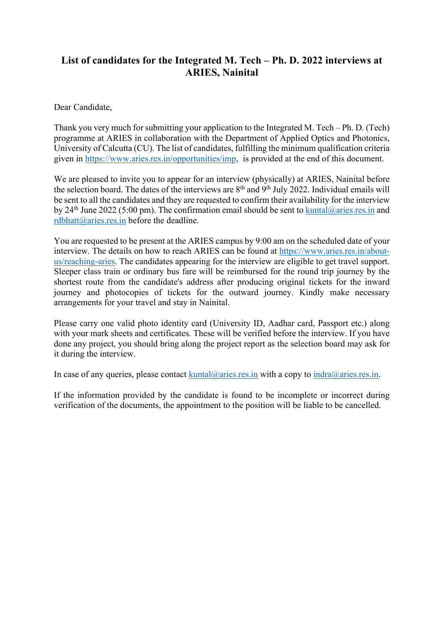## **List of candidates for the Integrated M. Tech – Ph. D. 2022 interviews at ARIES, Nainital**

Dear Candidate,

Thank you very much for submitting your application to the Integrated M. Tech – Ph. D. (Tech) programme at ARIES in collaboration with the Department of Applied Optics and Photonics, University of Calcutta (CU). The list of candidates, fulfilling the minimum qualification criteria given in https://www.aries.res.in/opportunities/imp, is provided at the end of this document.

We are pleased to invite you to appear for an interview (physically) at ARIES, Nainital before the selection board. The dates of the interviews are 8<sup>th</sup> and 9<sup>th</sup> July 2022. Individual emails will be sent to all the candidates and they are requested to confirm their availability for the interview by 24<sup>th</sup> June 2022 (5:00 pm). The confirmation email should be sent to kuntal@aries.res.in and rdbhatt $@$ aries.res.in before the deadline.

You are requested to be present at the ARIES campus by 9:00 am on the scheduled date of your interview. The details on how to reach ARIES can be found at https://www.aries.res.in/aboutus/reaching-aries. The candidates appearing for the interview are eligible to get travel support. Sleeper class train or ordinary bus fare will be reimbursed for the round trip journey by the shortest route from the candidate's address after producing original tickets for the inward journey and photocopies of tickets for the outward journey. Kindly make necessary arrangements for your travel and stay in Nainital.

Please carry one valid photo identity card (University ID, Aadhar card, Passport etc.) along with your mark sheets and certificates. These will be verified before the interview. If you have done any project, you should bring along the project report as the selection board may ask for it during the interview.

In case of any queries, please contact kuntal@aries.res.in with a copy to indra@aries.res.in.

If the information provided by the candidate is found to be incomplete or incorrect during verification of the documents, the appointment to the position will be liable to be cancelled.